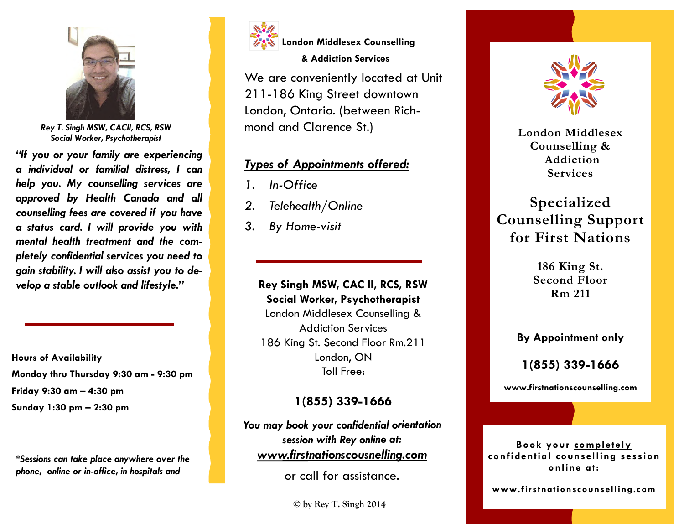

*Rey T. Singh MSW, CACII, RCS, RSW Social Worker, Psychotherapist* 

*"If you or your family are experiencing a individual or familial distress, I can help you. My counselling services are approved by Health Canada and all counselling fees are covered if you have a status card. I will provide you with mental health treatment and the completely confidential services you need to gain stability. I will also assist you to develop a stable outlook and lifestyle."* 

**Hours of AvailabilityMonday thru Thursday 9:30 am - 9:30 pm Friday 9:30 am – 4:30 pm Sunday 1:30 pm – 2:30 pm** 

*\*Sessions can take place anywhere over the phone, online or in-office, in hospitals and* 



**London Middlesex Counselling** 

#### **& Addiction Services**

We are conveniently located at Unit 211-186 King Street downtown London, Ontario. (between Richmond and Clarence St.)

## *Types of Appointments offered:*

- *1. In-Office*
- *2. Telehealth/Online*
- *3. By Home-visit*

# **Rey Singh MSW, CAC II, RCS, RSW Social Worker, Psychotherapist**

London Middlesex Counselling & Addiction Services 186 King St. Second Floor Rm.211 London, ON Toll Free:

# **1(855) 339-1666**

*You may book your confidential orientation session with Rey online at: www.firstnationscousnelling.com*

or call for assistance.

**© by Rey T. Singh 2014**



**London Middlesex Counselling & Addiction Services** 

# **Specialized Counselling Support for First Nations**

**186 King St. Second Floor Rm 211**

**By Appointment only** 

**1(855) 339-1666** 

**www.firstnationscounselling.com**

**Book your completely confidential counselling session online at:** 

**www.firstnationscounselling.com**